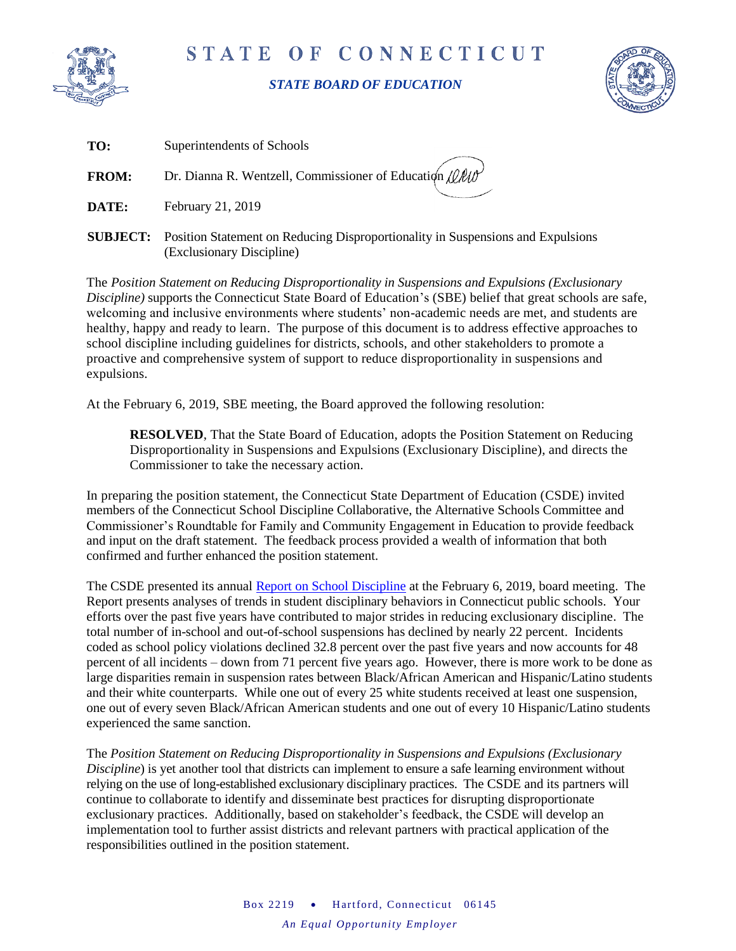

## STATE OF CONNECTICUT

## *STATE BOARD OF EDUCATION*



| TO:          | Superintendents of Schools                                                                                                   |
|--------------|------------------------------------------------------------------------------------------------------------------------------|
| <b>FROM:</b> | Dr. Dianna R. Wentzell, Commissioner of Education $\ell\ell\ell\ell\ell\ell'$<br>$\sim$ $\sim$                               |
| DATE:        | February 21, 2019                                                                                                            |
|              | <b>SUBJECT:</b> Position Statement on Reducing Disproportionality in Suspensions and Expulsions<br>(Exclusionary Discipline) |

The *Position Statement on Reducing Disproportionality in Suspensions and Expulsions (Exclusionary Discipline)* supports the Connecticut State Board of Education's (SBE) belief that great schools are safe, welcoming and inclusive environments where students' non-academic needs are met, and students are healthy, happy and ready to learn. The purpose of this document is to address effective approaches to school discipline including guidelines for districts, schools, and other stakeholders to promote a proactive and comprehensive system of support to reduce disproportionality in suspensions and expulsions.

At the February 6, 2019, SBE meeting, the Board approved the following resolution:

**RESOLVED**, That the State Board of Education, adopts the Position Statement on Reducing Disproportionality in Suspensions and Expulsions (Exclusionary Discipline), and directs the Commissioner to take the necessary action.

In preparing the position statement, the Connecticut State Department of Education (CSDE) invited members of the Connecticut School Discipline Collaborative, the Alternative Schools Committee and Commissioner's Roundtable for Family and Community Engagement in Education to provide feedback and input on the draft statement. The feedback process provided a wealth of information that both confirmed and further enhanced the position statement.

The CSDE presented its annual [Report on School Discipline](https://portal.ct.gov/-/media/SDE/Board/BoardMaterials020619/Report_on_School_Discipline.pdf?la=en) at the February 6, 2019, board meeting. The Report presents analyses of trends in student disciplinary behaviors in Connecticut public schools. Your efforts over the past five years have contributed to major strides in reducing exclusionary discipline. The total number of in-school and out-of-school suspensions has declined by nearly 22 percent. Incidents coded as school policy violations declined 32.8 percent over the past five years and now accounts for 48 percent of all incidents – down from 71 percent five years ago. However, there is more work to be done as large disparities remain in suspension rates between Black/African American and Hispanic/Latino students and their white counterparts. While one out of every 25 white students received at least one suspension, one out of every seven Black/African American students and one out of every 10 Hispanic/Latino students experienced the same sanction.

The *Position Statement on Reducing Disproportionality in Suspensions and Expulsions (Exclusionary Discipline*) is yet another tool that districts can implement to ensure a safe learning environment without relying on the use of long-established exclusionary disciplinary practices. The CSDE and its partners will continue to collaborate to identify and disseminate best practices for disrupting disproportionate exclusionary practices. Additionally, based on stakeholder's feedback, the CSDE will develop an implementation tool to further assist districts and relevant partners with practical application of the responsibilities outlined in the position statement.